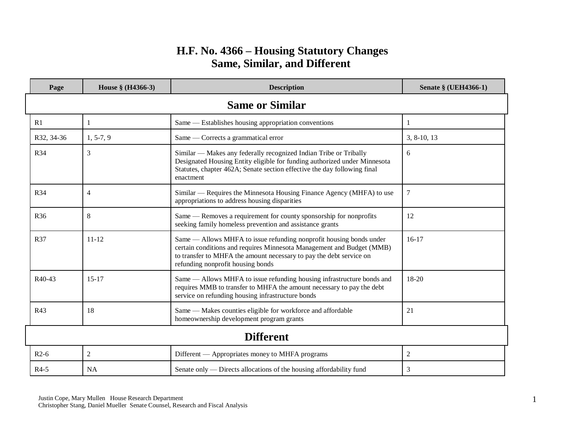## **H.F. No. 4366 – Housing Statutory Changes Same, Similar, and Different**

| Page                   | House § (H4366-3) | <b>Description</b>                                                                                                                                                                                                                                       | <b>Senate § (UEH4366-1)</b> |
|------------------------|-------------------|----------------------------------------------------------------------------------------------------------------------------------------------------------------------------------------------------------------------------------------------------------|-----------------------------|
| <b>Same or Similar</b> |                   |                                                                                                                                                                                                                                                          |                             |
| R1                     | $\mathbf{1}$      | Same — Establishes housing appropriation conventions                                                                                                                                                                                                     | 1                           |
| R32, 34-36             | $1, 5-7, 9$       | Same — Corrects a grammatical error                                                                                                                                                                                                                      | $3, 8-10, 13$               |
| R34                    | 3                 | Similar — Makes any federally recognized Indian Tribe or Tribally<br>Designated Housing Entity eligible for funding authorized under Minnesota<br>Statutes, chapter 462A; Senate section effective the day following final<br>enactment                  | 6                           |
| R34                    | $\overline{4}$    | Similar — Requires the Minnesota Housing Finance Agency (MHFA) to use<br>appropriations to address housing disparities                                                                                                                                   | $\boldsymbol{7}$            |
| <b>R36</b>             | 8                 | Same — Removes a requirement for county sponsorship for nonprofits<br>seeking family homeless prevention and assistance grants                                                                                                                           | 12                          |
| <b>R37</b>             | $11 - 12$         | Same — Allows MHFA to issue refunding nonprofit housing bonds under<br>certain conditions and requires Minnesota Management and Budget (MMB)<br>to transfer to MHFA the amount necessary to pay the debt service on<br>refunding nonprofit housing bonds | $16-17$                     |
| R <sub>40</sub> -43    | $15 - 17$         | Same — Allows MHFA to issue refunding housing infrastructure bonds and<br>requires MMB to transfer to MHFA the amount necessary to pay the debt<br>service on refunding housing infrastructure bonds                                                     | $18-20$                     |
| R43                    | 18                | Same - Makes counties eligible for workforce and affordable<br>homeownership development program grants                                                                                                                                                  | 21                          |
| <b>Different</b>       |                   |                                                                                                                                                                                                                                                          |                             |
| $R2-6$                 | $\overline{c}$    | Different - Appropriates money to MHFA programs                                                                                                                                                                                                          | $\mathfrak{2}$              |
| $R4-5$                 | <b>NA</b>         | Senate only — Directs allocations of the housing affordability fund                                                                                                                                                                                      | 3                           |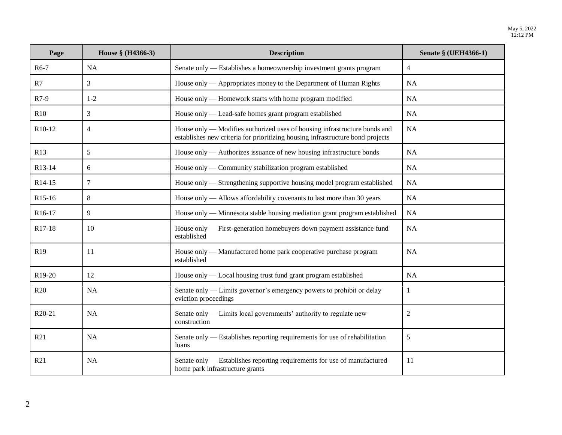| Page                | House § (H4366-3) | <b>Description</b>                                                                                                                                          | Senate § (UEH4366-1) |
|---------------------|-------------------|-------------------------------------------------------------------------------------------------------------------------------------------------------------|----------------------|
| $R6-7$              | NA                | Senate only — Establishes a homeownership investment grants program                                                                                         | $\overline{4}$       |
| R7                  | 3                 | House only — Appropriates money to the Department of Human Rights                                                                                           | <b>NA</b>            |
| $R7-9$              | $1 - 2$           | House only — Homework starts with home program modified                                                                                                     | <b>NA</b>            |
| R10                 | 3                 | House only — Lead-safe homes grant program established                                                                                                      | <b>NA</b>            |
| R10-12              | $\overline{4}$    | House only — Modifies authorized uses of housing infrastructure bonds and<br>establishes new criteria for prioritizing housing infrastructure bond projects | NA                   |
| R13                 | 5                 | House only — Authorizes issuance of new housing infrastructure bonds                                                                                        | NA                   |
| R13-14              | 6                 | House only — Community stabilization program established                                                                                                    | NA                   |
| R14-15              | 7                 | House only — Strengthening supportive housing model program established                                                                                     | NA.                  |
| R <sub>15</sub> -16 | $8\,$             | House only — Allows affordability covenants to last more than 30 years                                                                                      | <b>NA</b>            |
| R16-17              | 9                 | House only — Minnesota stable housing mediation grant program established                                                                                   | <b>NA</b>            |
| R17-18              | 10                | House only — First-generation homebuyers down payment assistance fund<br>established                                                                        | NA                   |
| R <sub>19</sub>     | 11                | House only — Manufactured home park cooperative purchase program<br>established                                                                             | NA                   |
| R <sub>19</sub> -20 | 12                | House only — Local housing trust fund grant program established                                                                                             | <b>NA</b>            |
| R20                 | <b>NA</b>         | Senate only — Limits governor's emergency powers to prohibit or delay<br>eviction proceedings                                                               | 1                    |
| R <sub>20</sub> -21 | NA                | Senate only — Limits local governments' authority to regulate new<br>construction                                                                           | $\overline{2}$       |
| R21                 | <b>NA</b>         | Senate only — Establishes reporting requirements for use of rehabilitation<br>loans                                                                         | 5                    |
| R21                 | <b>NA</b>         | Senate only — Establishes reporting requirements for use of manufactured<br>home park infrastructure grants                                                 | 11                   |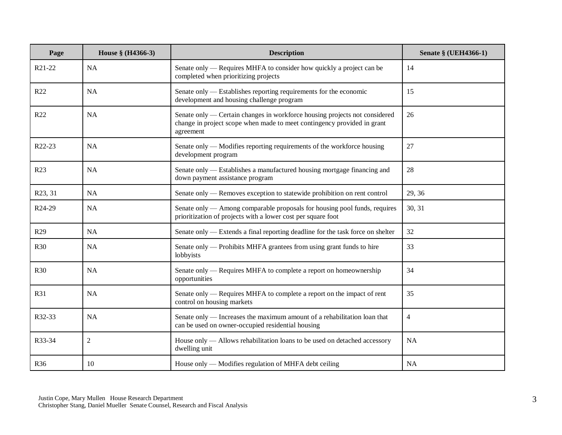| Page                | House § (H4366-3) | <b>Description</b>                                                                                                                                                 | <b>Senate § (UEH4366-1)</b> |
|---------------------|-------------------|--------------------------------------------------------------------------------------------------------------------------------------------------------------------|-----------------------------|
| R21-22              | <b>NA</b>         | Senate only — Requires MHFA to consider how quickly a project can be<br>completed when prioritizing projects                                                       | 14                          |
| R22                 | <b>NA</b>         | Senate only — Establishes reporting requirements for the economic<br>development and housing challenge program                                                     | 15                          |
| R <sub>22</sub>     | NA                | Senate only — Certain changes in workforce housing projects not considered<br>change in project scope when made to meet contingency provided in grant<br>agreement | 26                          |
| R <sub>22</sub> -23 | <b>NA</b>         | Senate only — Modifies reporting requirements of the workforce housing<br>development program                                                                      | 27                          |
| R <sub>23</sub>     | <b>NA</b>         | Senate only - Establishes a manufactured housing mortgage financing and<br>down payment assistance program                                                         | 28                          |
| R23, 31             | <b>NA</b>         | Senate only — Removes exception to statewide prohibition on rent control                                                                                           | 29, 36                      |
| R24-29              | <b>NA</b>         | Senate only — Among comparable proposals for housing pool funds, requires<br>prioritization of projects with a lower cost per square foot                          | 30, 31                      |
| R <sub>29</sub>     | <b>NA</b>         | Senate only — Extends a final reporting deadline for the task force on shelter                                                                                     | 32                          |
| <b>R30</b>          | <b>NA</b>         | Senate only — Prohibits MHFA grantees from using grant funds to hire<br>lobbyists                                                                                  | 33                          |
| <b>R30</b>          | <b>NA</b>         | Senate only — Requires MHFA to complete a report on homeownership<br>opportunities                                                                                 | 34                          |
| R31                 | <b>NA</b>         | Senate only — Requires MHFA to complete a report on the impact of rent<br>control on housing markets                                                               | 35                          |
| R32-33              | <b>NA</b>         | Senate only — Increases the maximum amount of a rehabilitation loan that<br>can be used on owner-occupied residential housing                                      | 4                           |
| R33-34              | $\sqrt{2}$        | House only — Allows rehabilitation loans to be used on detached accessory<br>dwelling unit                                                                         | NA                          |
| R36                 | 10                | House only — Modifies regulation of MHFA debt ceiling                                                                                                              | <b>NA</b>                   |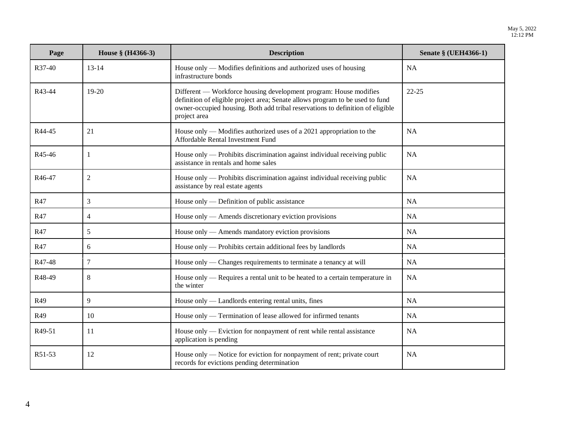| Page   | House § (H4366-3) | <b>Description</b>                                                                                                                                                                                                                                   | <b>Senate § (UEH4366-1)</b> |
|--------|-------------------|------------------------------------------------------------------------------------------------------------------------------------------------------------------------------------------------------------------------------------------------------|-----------------------------|
| R37-40 | $13 - 14$         | House only — Modifies definitions and authorized uses of housing<br>infrastructure bonds                                                                                                                                                             | <b>NA</b>                   |
| R43-44 | 19-20             | Different — Workforce housing development program: House modifies<br>definition of eligible project area; Senate allows program to be used to fund<br>owner-occupied housing. Both add tribal reservations to definition of eligible<br>project area | $22 - 25$                   |
| R44-45 | 21                | House only — Modifies authorized uses of a 2021 appropriation to the<br>Affordable Rental Investment Fund                                                                                                                                            | <b>NA</b>                   |
| R45-46 | 1                 | House only — Prohibits discrimination against individual receiving public<br>assistance in rentals and home sales                                                                                                                                    | <b>NA</b>                   |
| R46-47 | $\overline{2}$    | House only — Prohibits discrimination against individual receiving public<br>assistance by real estate agents                                                                                                                                        | <b>NA</b>                   |
| R47    | 3                 | House only — Definition of public assistance                                                                                                                                                                                                         | <b>NA</b>                   |
| R47    | $\overline{4}$    | House only — Amends discretionary eviction provisions                                                                                                                                                                                                | <b>NA</b>                   |
| R47    | 5                 | House only — Amends mandatory eviction provisions                                                                                                                                                                                                    | <b>NA</b>                   |
| R47    | 6                 | House only — Prohibits certain additional fees by landlords                                                                                                                                                                                          | <b>NA</b>                   |
| R47-48 | $\tau$            | House only — Changes requirements to terminate a tenancy at will                                                                                                                                                                                     | <b>NA</b>                   |
| R48-49 | 8                 | House only — Requires a rental unit to be heated to a certain temperature in<br>the winter                                                                                                                                                           | NA                          |
| R49    | 9                 | House only — Landlords entering rental units, fines                                                                                                                                                                                                  | <b>NA</b>                   |
| R49    | 10                | House only — Termination of lease allowed for infirmed tenants                                                                                                                                                                                       | <b>NA</b>                   |
| R49-51 | 11                | House only — Eviction for nonpayment of rent while rental assistance<br>application is pending                                                                                                                                                       | <b>NA</b>                   |
| R51-53 | 12                | House only — Notice for eviction for nonpayment of rent; private court<br>records for evictions pending determination                                                                                                                                | <b>NA</b>                   |